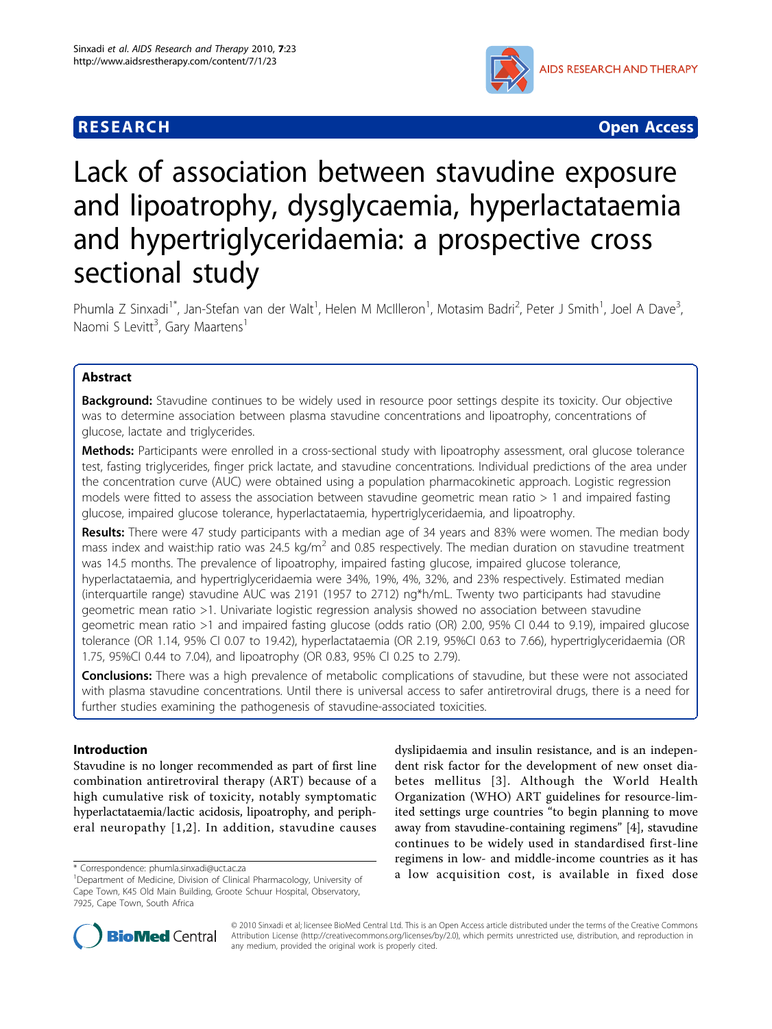## **RESEARCH CONTROL** CONTROL CONTROL CONTROL CONTROL CONTROL CONTROL CONTROL CONTROL CONTROL CONTROL CONTROL CONTROL



# Lack of association between stavudine exposure and lipoatrophy, dysglycaemia, hyperlactataemia and hypertriglyceridaemia: a prospective cross sectional study

Phumla Z Sinxadi<sup>1\*</sup>, Jan-Stefan van der Walt<sup>1</sup>, Helen M McIlleron<sup>1</sup>, Motasim Badri<sup>2</sup>, Peter J Smith<sup>1</sup>, Joel A Dave<sup>3</sup> , Naomi S Levitt<sup>3</sup>, Gary Maartens<sup>1</sup>

## Abstract

Background: Stavudine continues to be widely used in resource poor settings despite its toxicity. Our objective was to determine association between plasma stavudine concentrations and lipoatrophy, concentrations of glucose, lactate and triglycerides.

Methods: Participants were enrolled in a cross-sectional study with lipoatrophy assessment, oral glucose tolerance test, fasting triglycerides, finger prick lactate, and stavudine concentrations. Individual predictions of the area under the concentration curve (AUC) were obtained using a population pharmacokinetic approach. Logistic regression models were fitted to assess the association between stavudine geometric mean ratio  $> 1$  and impaired fasting glucose, impaired glucose tolerance, hyperlactataemia, hypertriglyceridaemia, and lipoatrophy.

Results: There were 47 study participants with a median age of 34 years and 83% were women. The median body mass index and waist:hip ratio was 24.5 kg/m<sup>2</sup> and 0.85 respectively. The median duration on stavudine treatment was 14.5 months. The prevalence of lipoatrophy, impaired fasting glucose, impaired glucose tolerance, hyperlactataemia, and hypertriglyceridaemia were 34%, 19%, 4%, 32%, and 23% respectively. Estimated median (interquartile range) stavudine AUC was 2191 (1957 to 2712) ng\*h/mL. Twenty two participants had stavudine geometric mean ratio >1. Univariate logistic regression analysis showed no association between stavudine geometric mean ratio >1 and impaired fasting glucose (odds ratio (OR) 2.00, 95% CI 0.44 to 9.19), impaired glucose tolerance (OR 1.14, 95% CI 0.07 to 19.42), hyperlactataemia (OR 2.19, 95%CI 0.63 to 7.66), hypertriglyceridaemia (OR 1.75, 95%CI 0.44 to 7.04), and lipoatrophy (OR 0.83, 95% CI 0.25 to 2.79).

**Conclusions:** There was a high prevalence of metabolic complications of stavudine, but these were not associated with plasma stavudine concentrations. Until there is universal access to safer antiretroviral drugs, there is a need for further studies examining the pathogenesis of stavudine-associated toxicities.

## Introduction

Stavudine is no longer recommended as part of first line combination antiretroviral therapy (ART) because of a high cumulative risk of toxicity, notably symptomatic hyperlactataemia/lactic acidosis, lipoatrophy, and peripheral neuropathy [\[1,2\]](#page-4-0). In addition, stavudine causes

dyslipidaemia and insulin resistance, and is an independent risk factor for the development of new onset diabetes mellitus [[3\]](#page-4-0). Although the World Health Organization (WHO) ART guidelines for resource-limited settings urge countries "to begin planning to move away from stavudine-containing regimens" [\[4](#page-4-0)], stavudine continues to be widely used in standardised first-line regimens in low- and middle-income countries as it has a low acquisition cost, is available in fixed dose \* Correspondence: [phumla.sinxadi@uct.ac.za](mailto:phumla.sinxadi@uct.ac.za)



© 2010 Sinxadi et al; licensee BioMed Central Ltd. This is an Open Access article distributed under the terms of the Creative Commons Attribution License [\(http://creativecommons.org/licenses/by/2.0](http://creativecommons.org/licenses/by/2.0)), which permits unrestricted use, distribution, and reproduction in any medium, provided the original work is properly cited.

<sup>&</sup>lt;sup>1</sup>Department of Medicine, Division of Clinical Pharmacology, University of Cape Town, K45 Old Main Building, Groote Schuur Hospital, Observatory, 7925, Cape Town, South Africa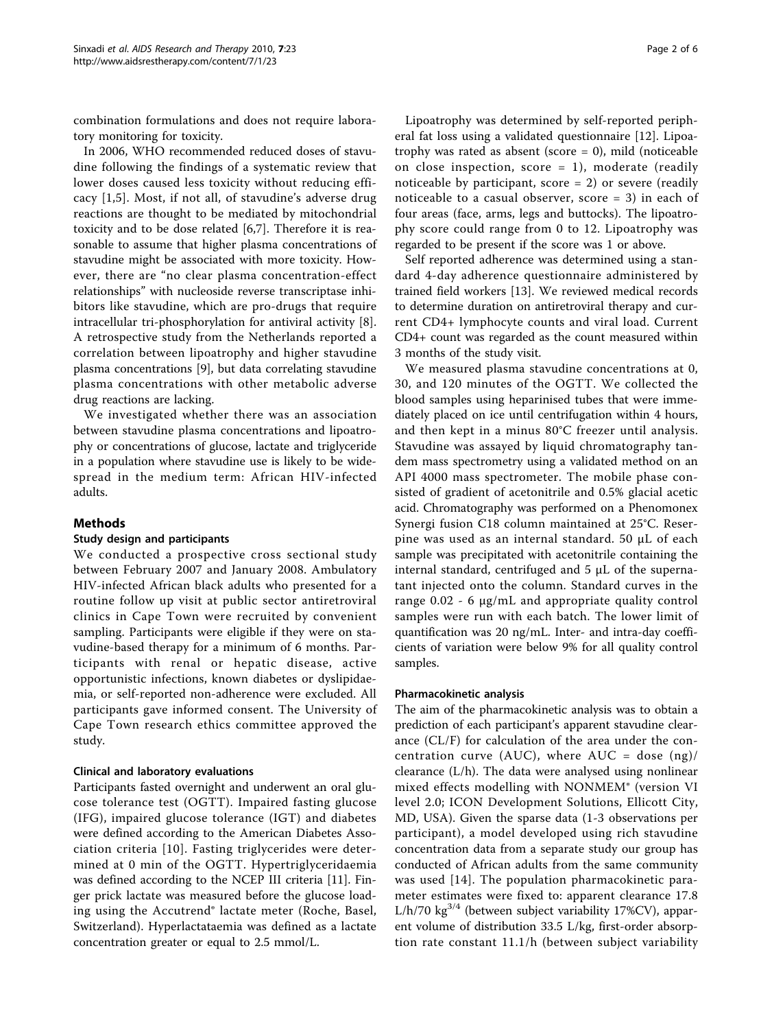combination formulations and does not require laboratory monitoring for toxicity.

In 2006, WHO recommended reduced doses of stavudine following the findings of a systematic review that lower doses caused less toxicity without reducing efficacy [[1,5](#page-4-0)]. Most, if not all, of stavudine's adverse drug reactions are thought to be mediated by mitochondrial toxicity and to be dose related [\[6](#page-4-0),[7\]](#page-4-0). Therefore it is reasonable to assume that higher plasma concentrations of stavudine might be associated with more toxicity. However, there are "no clear plasma concentration-effect relationships" with nucleoside reverse transcriptase inhibitors like stavudine, which are pro-drugs that require intracellular tri-phosphorylation for antiviral activity [\[8](#page-4-0)]. A retrospective study from the Netherlands reported a correlation between lipoatrophy and higher stavudine plasma concentrations [[9\]](#page-4-0), but data correlating stavudine plasma concentrations with other metabolic adverse drug reactions are lacking.

We investigated whether there was an association between stavudine plasma concentrations and lipoatrophy or concentrations of glucose, lactate and triglyceride in a population where stavudine use is likely to be widespread in the medium term: African HIV-infected adults.

## Methods

#### Study design and participants

We conducted a prospective cross sectional study between February 2007 and January 2008. Ambulatory HIV-infected African black adults who presented for a routine follow up visit at public sector antiretroviral clinics in Cape Town were recruited by convenient sampling. Participants were eligible if they were on stavudine-based therapy for a minimum of 6 months. Participants with renal or hepatic disease, active opportunistic infections, known diabetes or dyslipidaemia, or self-reported non-adherence were excluded. All participants gave informed consent. The University of Cape Town research ethics committee approved the study.

## Clinical and laboratory evaluations

Participants fasted overnight and underwent an oral glucose tolerance test (OGTT). Impaired fasting glucose (IFG), impaired glucose tolerance (IGT) and diabetes were defined according to the American Diabetes Association criteria [\[10\]](#page-4-0). Fasting triglycerides were determined at 0 min of the OGTT. Hypertriglyceridaemia was defined according to the NCEP III criteria [[11](#page-4-0)]. Finger prick lactate was measured before the glucose loading using the Accutrend® lactate meter (Roche, Basel, Switzerland). Hyperlactataemia was defined as a lactate concentration greater or equal to 2.5 mmol/L.

Lipoatrophy was determined by self-reported peripheral fat loss using a validated questionnaire [\[12](#page-5-0)]. Lipoatrophy was rated as absent (score = 0), mild (noticeable on close inspection, score  $= 1$ ), moderate (readily noticeable by participant, score = 2) or severe (readily noticeable to a casual observer, score = 3) in each of four areas (face, arms, legs and buttocks). The lipoatrophy score could range from 0 to 12. Lipoatrophy was regarded to be present if the score was 1 or above.

Self reported adherence was determined using a standard 4-day adherence questionnaire administered by trained field workers [\[13](#page-5-0)]. We reviewed medical records to determine duration on antiretroviral therapy and current CD4+ lymphocyte counts and viral load. Current CD4+ count was regarded as the count measured within 3 months of the study visit.

We measured plasma stavudine concentrations at 0, 30, and 120 minutes of the OGTT. We collected the blood samples using heparinised tubes that were immediately placed on ice until centrifugation within 4 hours, and then kept in a minus 80°C freezer until analysis. Stavudine was assayed by liquid chromatography tandem mass spectrometry using a validated method on an API 4000 mass spectrometer. The mobile phase consisted of gradient of acetonitrile and 0.5% glacial acetic acid. Chromatography was performed on a Phenomonex Synergi fusion C18 column maintained at 25°C. Reserpine was used as an internal standard. 50 μL of each sample was precipitated with acetonitrile containing the internal standard, centrifuged and  $5 \mu L$  of the supernatant injected onto the column. Standard curves in the range 0.02 - 6 μg/mL and appropriate quality control samples were run with each batch. The lower limit of quantification was 20 ng/mL. Inter- and intra-day coefficients of variation were below 9% for all quality control samples.

#### Pharmacokinetic analysis

The aim of the pharmacokinetic analysis was to obtain a prediction of each participant's apparent stavudine clearance (CL/F) for calculation of the area under the concentration curve (AUC), where AUC = dose  $(ng)$ / clearance (L/h). The data were analysed using nonlinear mixed effects modelling with NONMEM® (version VI level 2.0; ICON Development Solutions, Ellicott City, MD, USA). Given the sparse data (1-3 observations per participant), a model developed using rich stavudine concentration data from a separate study our group has conducted of African adults from the same community was used [[14\]](#page-5-0). The population pharmacokinetic parameter estimates were fixed to: apparent clearance 17.8 L/h/70  $kg^{3/4}$  (between subject variability 17%CV), apparent volume of distribution 33.5 L/kg, first-order absorption rate constant 11.1/h (between subject variability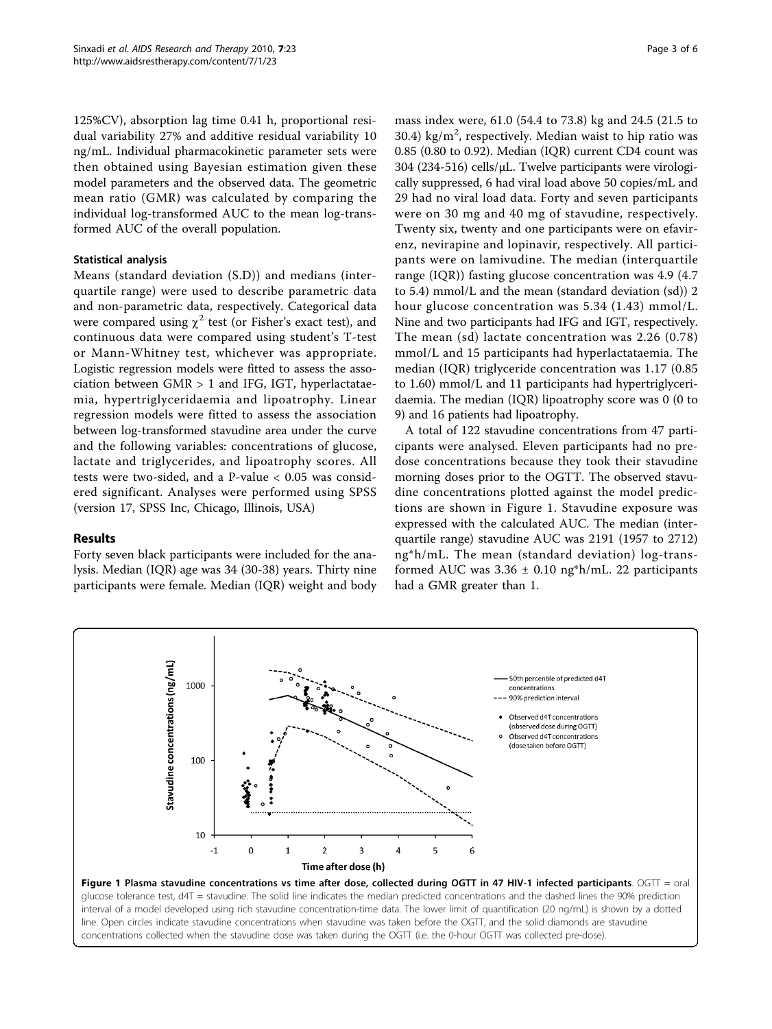125%CV), absorption lag time 0.41 h, proportional residual variability 27% and additive residual variability 10 ng/mL. Individual pharmacokinetic parameter sets were then obtained using Bayesian estimation given these model parameters and the observed data. The geometric mean ratio (GMR) was calculated by comparing the individual log-transformed AUC to the mean log-transformed AUC of the overall population.

### Statistical analysis

Means (standard deviation (S.D)) and medians (interquartile range) were used to describe parametric data and non-parametric data, respectively. Categorical data were compared using  $\chi^2$  test (or Fisher's exact test), and continuous data were compared using student's T-test or Mann-Whitney test, whichever was appropriate. Logistic regression models were fitted to assess the association between GMR > 1 and IFG, IGT, hyperlactataemia, hypertriglyceridaemia and lipoatrophy. Linear regression models were fitted to assess the association between log-transformed stavudine area under the curve and the following variables: concentrations of glucose, lactate and triglycerides, and lipoatrophy scores. All tests were two-sided, and a P-value < 0.05 was considered significant. Analyses were performed using SPSS (version 17, SPSS Inc, Chicago, Illinois, USA)

## Results

Forty seven black participants were included for the analysis. Median (IQR) age was 34 (30-38) years. Thirty nine participants were female. Median (IQR) weight and body

mass index were, 61.0 (54.4 to 73.8) kg and 24.5 (21.5 to 30.4) kg/m<sup>2</sup>, respectively. Median waist to hip ratio was 0.85 (0.80 to 0.92). Median (IQR) current CD4 count was 304 (234-516) cells/μL. Twelve participants were virologically suppressed, 6 had viral load above 50 copies/mL and 29 had no viral load data. Forty and seven participants were on 30 mg and 40 mg of stavudine, respectively. Twenty six, twenty and one participants were on efavirenz, nevirapine and lopinavir, respectively. All participants were on lamivudine. The median (interquartile range (IQR)) fasting glucose concentration was 4.9 (4.7 to 5.4) mmol/L and the mean (standard deviation (sd)) 2 hour glucose concentration was 5.34 (1.43) mmol/L. Nine and two participants had IFG and IGT, respectively. The mean (sd) lactate concentration was 2.26 (0.78) mmol/L and 15 participants had hyperlactataemia. The median (IQR) triglyceride concentration was 1.17 (0.85 to 1.60) mmol/L and 11 participants had hypertriglyceridaemia. The median (IQR) lipoatrophy score was 0 (0 to 9) and 16 patients had lipoatrophy.

A total of 122 stavudine concentrations from 47 participants were analysed. Eleven participants had no predose concentrations because they took their stavudine morning doses prior to the OGTT. The observed stavudine concentrations plotted against the model predictions are shown in Figure 1. Stavudine exposure was expressed with the calculated AUC. The median (interquartile range) stavudine AUC was 2191 (1957 to 2712) ng\*h/mL. The mean (standard deviation) log-transformed AUC was  $3.36 \pm 0.10$  ng\*h/mL. 22 participants had a GMR greater than 1.

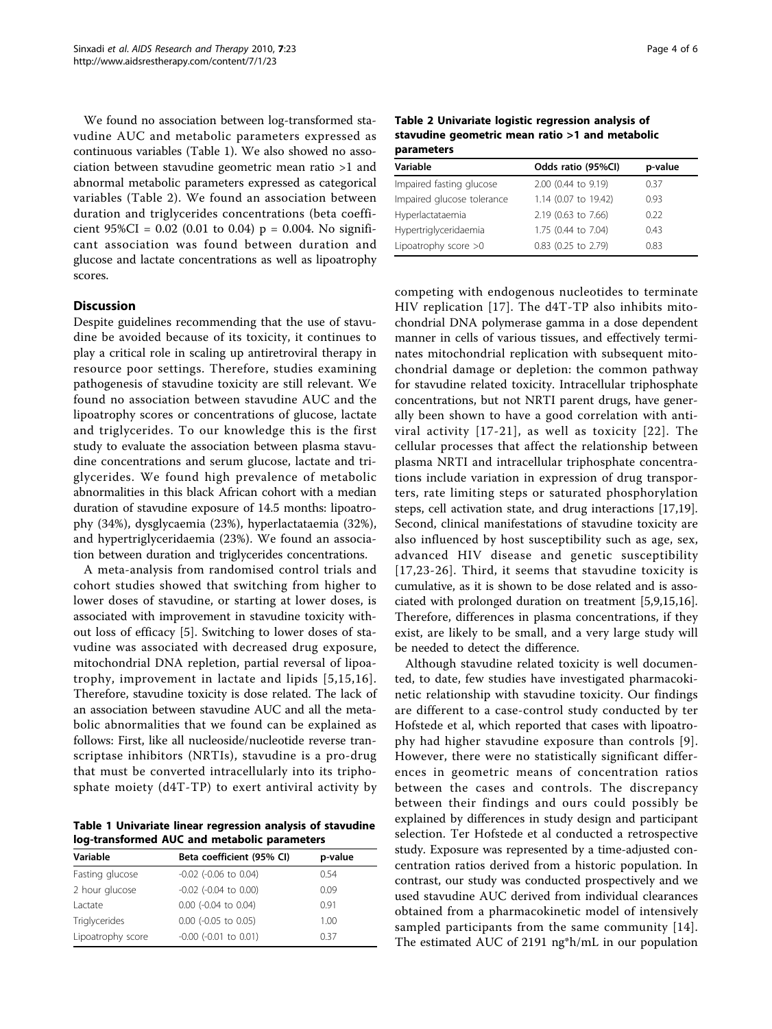We found no association between log-transformed stavudine AUC and metabolic parameters expressed as continuous variables (Table 1). We also showed no association between stavudine geometric mean ratio >1 and abnormal metabolic parameters expressed as categorical variables (Table 2). We found an association between duration and triglycerides concentrations (beta coefficient  $95\%CI = 0.02$  (0.01 to 0.04) p = 0.004. No significant association was found between duration and glucose and lactate concentrations as well as lipoatrophy scores.

## **Discussion**

Despite guidelines recommending that the use of stavudine be avoided because of its toxicity, it continues to play a critical role in scaling up antiretroviral therapy in resource poor settings. Therefore, studies examining pathogenesis of stavudine toxicity are still relevant. We found no association between stavudine AUC and the lipoatrophy scores or concentrations of glucose, lactate and triglycerides. To our knowledge this is the first study to evaluate the association between plasma stavudine concentrations and serum glucose, lactate and triglycerides. We found high prevalence of metabolic abnormalities in this black African cohort with a median duration of stavudine exposure of 14.5 months: lipoatrophy (34%), dysglycaemia (23%), hyperlactataemia (32%), and hypertriglyceridaemia (23%). We found an association between duration and triglycerides concentrations.

A meta-analysis from randomised control trials and cohort studies showed that switching from higher to lower doses of stavudine, or starting at lower doses, is associated with improvement in stavudine toxicity without loss of efficacy [[5\]](#page-4-0). Switching to lower doses of stavudine was associated with decreased drug exposure, mitochondrial DNA repletion, partial reversal of lipoatrophy, improvement in lactate and lipids [[5](#page-4-0),[15,16\]](#page-5-0). Therefore, stavudine toxicity is dose related. The lack of an association between stavudine AUC and all the metabolic abnormalities that we found can be explained as follows: First, like all nucleoside/nucleotide reverse transcriptase inhibitors (NRTIs), stavudine is a pro-drug that must be converted intracellularly into its triphosphate moiety (d4T-TP) to exert antiviral activity by

Table 1 Univariate linear regression analysis of stavudine log-transformed AUC and metabolic parameters

| Variable          | Beta coefficient (95% CI)     | p-value |  |  |
|-------------------|-------------------------------|---------|--|--|
| Fasting glucose   | $-0.02$ ( $-0.06$ to 0.04)    | 0.54    |  |  |
| 2 hour glucose    | $-0.02$ ( $-0.04$ to $0.00$ ) | 0.09    |  |  |
| Lactate           | 0.00 (-0.04 to 0.04)          | 0.91    |  |  |
| Triglycerides     | $0.00$ (-0.05 to 0.05)        | 1.00    |  |  |
| Lipoatrophy score | $-0.00$ $(-0.01$ to $0.01)$   | 0.37    |  |  |

Table 2 Univariate logistic regression analysis of stavudine geometric mean ratio >1 and metabolic parameters

| .                    |         |  |  |  |
|----------------------|---------|--|--|--|
| Odds ratio (95%CI)   | p-value |  |  |  |
| 2.00 (0.44 to 9.19)  | 0.37    |  |  |  |
| 1.14 (0.07 to 19.42) | 0.93    |  |  |  |
| 2.19 (0.63 to 7.66)  | 0.22    |  |  |  |
| 1.75 (0.44 to 7.04)  | 0.43    |  |  |  |
| 0.83 (0.25 to 2.79)  | 0.83    |  |  |  |
|                      |         |  |  |  |

competing with endogenous nucleotides to terminate HIV replication [[17\]](#page-5-0). The d4T-TP also inhibits mitochondrial DNA polymerase gamma in a dose dependent manner in cells of various tissues, and effectively terminates mitochondrial replication with subsequent mitochondrial damage or depletion: the common pathway for stavudine related toxicity. Intracellular triphosphate concentrations, but not NRTI parent drugs, have generally been shown to have a good correlation with antiviral activity [[17](#page-5-0)-[21](#page-5-0)], as well as toxicity [[22\]](#page-5-0). The cellular processes that affect the relationship between plasma NRTI and intracellular triphosphate concentrations include variation in expression of drug transporters, rate limiting steps or saturated phosphorylation steps, cell activation state, and drug interactions [\[17,19](#page-5-0)]. Second, clinical manifestations of stavudine toxicity are also influenced by host susceptibility such as age, sex, advanced HIV disease and genetic susceptibility [[17,23-26](#page-5-0)]. Third, it seems that stavudine toxicity is cumulative, as it is shown to be dose related and is associated with prolonged duration on treatment [\[5,9](#page-4-0)[,15,16](#page-5-0)]. Therefore, differences in plasma concentrations, if they exist, are likely to be small, and a very large study will be needed to detect the difference.

Although stavudine related toxicity is well documented, to date, few studies have investigated pharmacokinetic relationship with stavudine toxicity. Our findings are different to a case-control study conducted by ter Hofstede et al, which reported that cases with lipoatrophy had higher stavudine exposure than controls [[9\]](#page-4-0). However, there were no statistically significant differences in geometric means of concentration ratios between the cases and controls. The discrepancy between their findings and ours could possibly be explained by differences in study design and participant selection. Ter Hofstede et al conducted a retrospective study. Exposure was represented by a time-adjusted concentration ratios derived from a historic population. In contrast, our study was conducted prospectively and we used stavudine AUC derived from individual clearances obtained from a pharmacokinetic model of intensively sampled participants from the same community [[14\]](#page-5-0). The estimated AUC of 2191 ng\*h/mL in our population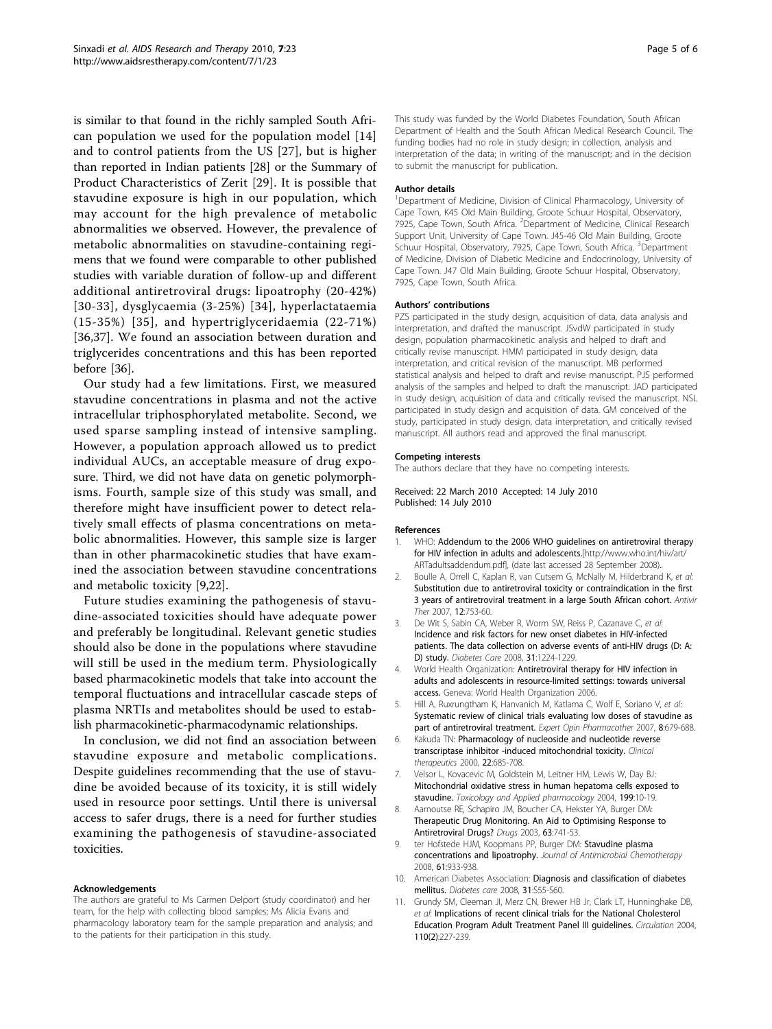<span id="page-4-0"></span>is similar to that found in the richly sampled South African population we used for the population model [\[14](#page-5-0)] and to control patients from the US [\[27\]](#page-5-0), but is higher than reported in Indian patients [[28\]](#page-5-0) or the Summary of Product Characteristics of Zerit [[29\]](#page-5-0). It is possible that stavudine exposure is high in our population, which may account for the high prevalence of metabolic abnormalities we observed. However, the prevalence of metabolic abnormalities on stavudine-containing regimens that we found were comparable to other published studies with variable duration of follow-up and different additional antiretroviral drugs: lipoatrophy (20-42%) [[30-33](#page-5-0)], dysglycaemia (3-25%) [[34](#page-5-0)], hyperlactataemia (15-35%) [[35\]](#page-5-0), and hypertriglyceridaemia (22-71%) [[36,37](#page-5-0)]. We found an association between duration and triglycerides concentrations and this has been reported before [\[36](#page-5-0)].

Our study had a few limitations. First, we measured stavudine concentrations in plasma and not the active intracellular triphosphorylated metabolite. Second, we used sparse sampling instead of intensive sampling. However, a population approach allowed us to predict individual AUCs, an acceptable measure of drug exposure. Third, we did not have data on genetic polymorphisms. Fourth, sample size of this study was small, and therefore might have insufficient power to detect relatively small effects of plasma concentrations on metabolic abnormalities. However, this sample size is larger than in other pharmacokinetic studies that have examined the association between stavudine concentrations and metabolic toxicity [9[,22\]](#page-5-0).

Future studies examining the pathogenesis of stavudine-associated toxicities should have adequate power and preferably be longitudinal. Relevant genetic studies should also be done in the populations where stavudine will still be used in the medium term. Physiologically based pharmacokinetic models that take into account the temporal fluctuations and intracellular cascade steps of plasma NRTIs and metabolites should be used to establish pharmacokinetic-pharmacodynamic relationships.

In conclusion, we did not find an association between stavudine exposure and metabolic complications. Despite guidelines recommending that the use of stavudine be avoided because of its toxicity, it is still widely used in resource poor settings. Until there is universal access to safer drugs, there is a need for further studies examining the pathogenesis of stavudine-associated toxicities.

#### Acknowledgements

The authors are grateful to Ms Carmen Delport (study coordinator) and her team, for the help with collecting blood samples; Ms Alicia Evans and pharmacology laboratory team for the sample preparation and analysis; and to the patients for their participation in this study.

This study was funded by the World Diabetes Foundation, South African Department of Health and the South African Medical Research Council. The funding bodies had no role in study design; in collection, analysis and interpretation of the data; in writing of the manuscript; and in the decision to submit the manuscript for publication.

#### Author details

<sup>1</sup>Department of Medicine, Division of Clinical Pharmacology, University of Cape Town, K45 Old Main Building, Groote Schuur Hospital, Observatory, 7925, Cape Town, South Africa. <sup>2</sup>Department of Medicine, Clinical Research Support Unit, University of Cape Town. J45-46 Old Main Building, Groote Schuur Hospital, Observatory, 7925, Cape Town, South Africa. <sup>3</sup>Department of Medicine, Division of Diabetic Medicine and Endocrinology, University of Cape Town. J47 Old Main Building, Groote Schuur Hospital, Observatory, 7925, Cape Town, South Africa.

#### Authors' contributions

PZS participated in the study design, acquisition of data, data analysis and interpretation, and drafted the manuscript. JSvdW participated in study design, population pharmacokinetic analysis and helped to draft and critically revise manuscript. HMM participated in study design, data interpretation, and critical revision of the manuscript. MB performed statistical analysis and helped to draft and revise manuscript. PJS performed analysis of the samples and helped to draft the manuscript. JAD participated in study design, acquisition of data and critically revised the manuscript. NSL participated in study design and acquisition of data. GM conceived of the study, participated in study design, data interpretation, and critically revised manuscript. All authors read and approved the final manuscript.

#### Competing interests

The authors declare that they have no competing interests.

Received: 22 March 2010 Accepted: 14 July 2010 Published: 14 July 2010

#### References

- 1. WHO: Addendum to the 2006 WHO guidelines on antiretroviral therapy for HIV infection in adults and adolescents. [\[http://www.who.int/hiv/art/](http://www.who.int/hiv/art/ARTadultsaddendum.pdf) [ARTadultsaddendum.pdf\]](http://www.who.int/hiv/art/ARTadultsaddendum.pdf), (date last accessed 28 September 2008)..
- 2. Boulle A, Orrell C, Kaplan R, van Cutsem G, McNally M, Hilderbrand K, et al: [Substitution due to antiretroviral toxicity or contraindication in the first](http://www.ncbi.nlm.nih.gov/pubmed/17713158?dopt=Abstract) [3 years of antiretroviral treatment in a large South African cohort.](http://www.ncbi.nlm.nih.gov/pubmed/17713158?dopt=Abstract) Antivir Ther 2007, 12:753-60.
- 3. De Wit S, Sabin CA, Weber R, Worm SW, Reiss P, Cazanave C, et al: [Incidence and risk factors for new onset diabetes in HIV-infected](http://www.ncbi.nlm.nih.gov/pubmed/18268071?dopt=Abstract) [patients. The data collection on adverse events of anti-HIV drugs \(D: A:](http://www.ncbi.nlm.nih.gov/pubmed/18268071?dopt=Abstract) [D\) study.](http://www.ncbi.nlm.nih.gov/pubmed/18268071?dopt=Abstract) Diabetes Care 2008, 31:1224-1229.
- 4. World Health Organization: Antiretroviral therapy for HIV infection in adults and adolescents in resource-limited settings: towards universal access. Geneva: World Health Organization 2006.
- 5. Hill A, Ruxrungtham K, Hanvanich M, Katlama C, Wolf E, Soriano V. et al: [Systematic review of clinical trials evaluating low doses of stavudine as](http://www.ncbi.nlm.nih.gov/pubmed/17376022?dopt=Abstract) [part of antiretroviral treatment.](http://www.ncbi.nlm.nih.gov/pubmed/17376022?dopt=Abstract) Expert Opin Pharmacother 2007, 8:679-688.
- 6. Kakuda TN: [Pharmacology of nucleoside and nucleotide reverse](http://www.ncbi.nlm.nih.gov/pubmed/10929917?dopt=Abstract) [transcriptase inhibitor -induced mitochondrial toxicity.](http://www.ncbi.nlm.nih.gov/pubmed/10929917?dopt=Abstract) Clinical therapeutics 2000, 22:685-708.
- Velsor L, Kovacevic M, Goldstein M, Leitner HM, Lewis W, Day BJ: [Mitochondrial oxidative stress in human hepatoma cells exposed to](http://www.ncbi.nlm.nih.gov/pubmed/15289086?dopt=Abstract) [stavudine.](http://www.ncbi.nlm.nih.gov/pubmed/15289086?dopt=Abstract) Toxicology and Applied pharmacology 2004, 199:10-19.
- 8. Aarnoutse RE, Schapiro JM, Boucher CA, Hekster YA, Burger DM: [Therapeutic Drug Monitoring. An Aid to Optimising Response to](http://www.ncbi.nlm.nih.gov/pubmed/12662123?dopt=Abstract) [Antiretroviral Drugs?](http://www.ncbi.nlm.nih.gov/pubmed/12662123?dopt=Abstract) Drugs 2003, 63:741-53.
- 9. ter Hofstede HJM, Koopmans PP, Burger DM: [Stavudine plasma](http://www.ncbi.nlm.nih.gov/pubmed/18281306?dopt=Abstract) [concentrations and lipoatrophy.](http://www.ncbi.nlm.nih.gov/pubmed/18281306?dopt=Abstract) Journal of Antimicrobial Chemotherapy 2008, 61:933-938.
- 10. American Diabetes Association: [Diagnosis and classification of diabetes](http://www.ncbi.nlm.nih.gov/pubmed/18165338?dopt=Abstract) [mellitus.](http://www.ncbi.nlm.nih.gov/pubmed/18165338?dopt=Abstract) Diabetes care 2008, 31:S55-S60.
- 11. Grundy SM, Cleeman JI, Merz CN, Brewer HB Jr, Clark LT, Hunninghake DB, et al: [Implications of recent clinical trials for the National Cholesterol](http://www.ncbi.nlm.nih.gov/pubmed/15249516?dopt=Abstract) [Education Program Adult Treatment Panel III guidelines.](http://www.ncbi.nlm.nih.gov/pubmed/15249516?dopt=Abstract) Circulation 2004, 110(2):227-239.